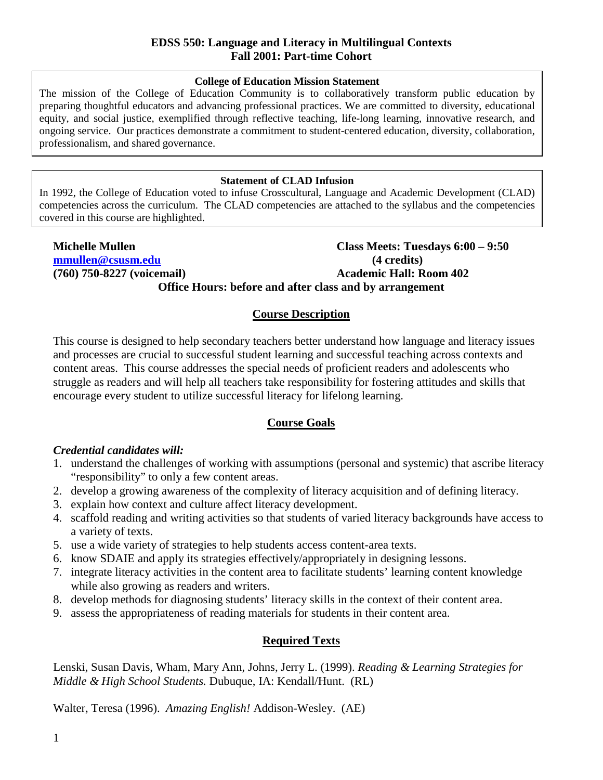#### **College of Education Mission Statement**

The mission of the College of Education Community is to collaboratively transform public education by preparing thoughtful educators and advancing professional practices. We are committed to diversity, educational equity, and social justice, exemplified through reflective teaching, life-long learning, innovative research, and ongoing service. Our practices demonstrate a commitment to student-centered education, diversity, collaboration, professionalism, and shared governance.

#### **Statement of CLAD Infusion**

In 1992, the College of Education voted to infuse Crosscultural, Language and Academic Development (CLAD) competencies across the curriculum. The CLAD competencies are attached to the syllabus and the competencies covered in this course are highlighted.

## **Michelle Mullen Class Meets: Tuesdays 6:00 – 9:50 [mmullen@csusm.edu](mailto:mmullen@mailhost1.csusm.edu) (4 credits) (760) 750-8227 (voicemail) Academic Hall: Room 402 Office Hours: before and after class and by arrangement**

## **Course Description**

This course is designed to help secondary teachers better understand how language and literacy issues and processes are crucial to successful student learning and successful teaching across contexts and content areas. This course addresses the special needs of proficient readers and adolescents who struggle as readers and will help all teachers take responsibility for fostering attitudes and skills that encourage every student to utilize successful literacy for lifelong learning.

## **Course Goals**

## *Credential candidates will:*

- 1. understand the challenges of working with assumptions (personal and systemic) that ascribe literacy "responsibility" to only a few content areas.
- 2. develop a growing awareness of the complexity of literacy acquisition and of defining literacy.
- 3. explain how context and culture affect literacy development.
- 4. scaffold reading and writing activities so that students of varied literacy backgrounds have access to a variety of texts.
- 5. use a wide variety of strategies to help students access content-area texts.
- 6. know SDAIE and apply its strategies effectively/appropriately in designing lessons.
- 7. integrate literacy activities in the content area to facilitate students' learning content knowledge while also growing as readers and writers.
- 8. develop methods for diagnosing students' literacy skills in the context of their content area.
- 9. assess the appropriateness of reading materials for students in their content area.

## **Required Texts**

Lenski, Susan Davis, Wham, Mary Ann, Johns, Jerry L. (1999). *Reading & Learning Strategies for Middle & High School Students.* Dubuque, IA: Kendall/Hunt. (RL)

Walter, Teresa (1996). *Amazing English!* Addison-Wesley. (AE)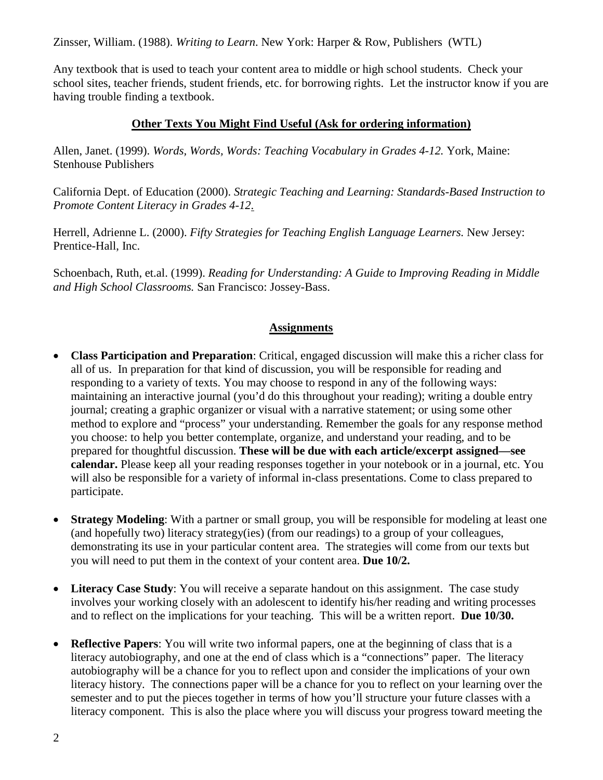Zinsser, William. (1988). *Writing to Learn*. New York: Harper & Row, Publishers (WTL)

Any textbook that is used to teach your content area to middle or high school students. Check your school sites, teacher friends, student friends, etc. for borrowing rights. Let the instructor know if you are having trouble finding a textbook.

## **Other Texts You Might Find Useful (Ask for ordering information)**

Allen, Janet. (1999). *Words, Words, Words: Teaching Vocabulary in Grades 4-12.* York, Maine: Stenhouse Publishers

California Dept. of Education (2000). *Strategic Teaching and Learning: Standards-Based Instruction to Promote Content Literacy in Grades 4-12*.

Herrell, Adrienne L. (2000). *Fifty Strategies for Teaching English Language Learners.* New Jersey: Prentice-Hall, Inc.

Schoenbach, Ruth, et.al. (1999). *Reading for Understanding: A Guide to Improving Reading in Middle and High School Classrooms.* San Francisco: Jossey-Bass.

## **Assignments**

- **Class Participation and Preparation**: Critical, engaged discussion will make this a richer class for all of us. In preparation for that kind of discussion, you will be responsible for reading and responding to a variety of texts. You may choose to respond in any of the following ways: maintaining an interactive journal (you'd do this throughout your reading); writing a double entry journal; creating a graphic organizer or visual with a narrative statement; or using some other method to explore and "process" your understanding. Remember the goals for any response method you choose: to help you better contemplate, organize, and understand your reading, and to be prepared for thoughtful discussion. **These will be due with each article/excerpt assigned—see calendar.** Please keep all your reading responses together in your notebook or in a journal, etc. You will also be responsible for a variety of informal in-class presentations. Come to class prepared to participate.
- **Strategy Modeling:** With a partner or small group, you will be responsible for modeling at least one (and hopefully two) literacy strategy(ies) (from our readings) to a group of your colleagues, demonstrating its use in your particular content area. The strategies will come from our texts but you will need to put them in the context of your content area. **Due 10/2.**
- Literacy Case Study: You will receive a separate handout on this assignment. The case study involves your working closely with an adolescent to identify his/her reading and writing processes and to reflect on the implications for your teaching. This will be a written report. **Due 10/30.**
- **Reflective Papers**: You will write two informal papers, one at the beginning of class that is a literacy autobiography, and one at the end of class which is a "connections" paper. The literacy autobiography will be a chance for you to reflect upon and consider the implications of your own literacy history. The connections paper will be a chance for you to reflect on your learning over the semester and to put the pieces together in terms of how you'll structure your future classes with a literacy component. This is also the place where you will discuss your progress toward meeting the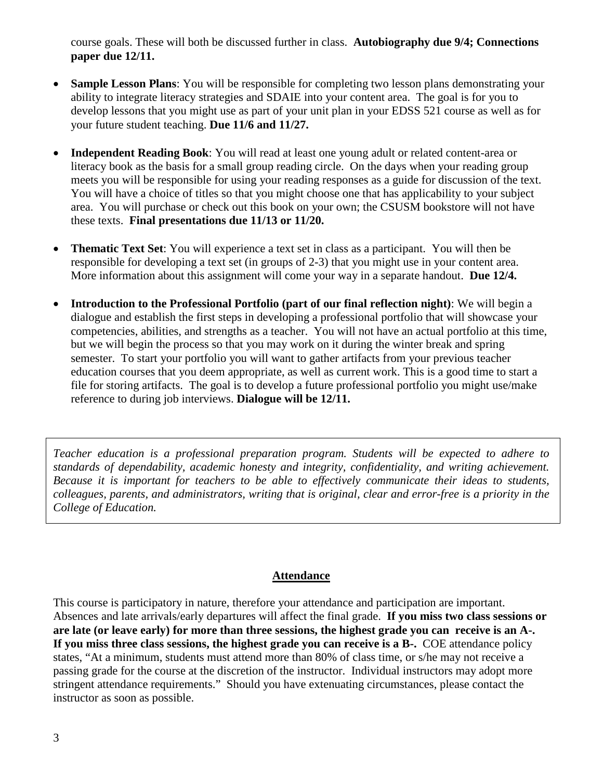course goals. These will both be discussed further in class. **Autobiography due 9/4; Connections paper due 12/11.**

- **Sample Lesson Plans:** You will be responsible for completing two lesson plans demonstrating your ability to integrate literacy strategies and SDAIE into your content area. The goal is for you to develop lessons that you might use as part of your unit plan in your EDSS 521 course as well as for your future student teaching. **Due 11/6 and 11/27.**
- **Independent Reading Book**: You will read at least one young adult or related content-area or literacy book as the basis for a small group reading circle. On the days when your reading group meets you will be responsible for using your reading responses as a guide for discussion of the text. You will have a choice of titles so that you might choose one that has applicability to your subject area. You will purchase or check out this book on your own; the CSUSM bookstore will not have these texts. **Final presentations due 11/13 or 11/20.**
- **Thematic Text Set**: You will experience a text set in class as a participant. You will then be responsible for developing a text set (in groups of 2-3) that you might use in your content area. More information about this assignment will come your way in a separate handout. **Due 12/4.**
- **Introduction to the Professional Portfolio (part of our final reflection night)**: We will begin a dialogue and establish the first steps in developing a professional portfolio that will showcase your competencies, abilities, and strengths as a teacher. You will not have an actual portfolio at this time, but we will begin the process so that you may work on it during the winter break and spring semester. To start your portfolio you will want to gather artifacts from your previous teacher education courses that you deem appropriate, as well as current work. This is a good time to start a file for storing artifacts. The goal is to develop a future professional portfolio you might use/make reference to during job interviews. **Dialogue will be 12/11.**

*Teacher education is a professional preparation program. Students will be expected to adhere to standards of dependability, academic honesty and integrity, confidentiality, and writing achievement. Because it is important for teachers to be able to effectively communicate their ideas to students, colleagues, parents, and administrators, writing that is original, clear and error-free is a priority in the College of Education.* 

## **Attendance**

This course is participatory in nature, therefore your attendance and participation are important. Absences and late arrivals/early departures will affect the final grade. **If you miss two class sessions or are late (or leave early) for more than three sessions, the highest grade you can receive is an A-. If you miss three class sessions, the highest grade you can receive is a B-.** COE attendance policy states, "At a minimum, students must attend more than 80% of class time, or s/he may not receive a passing grade for the course at the discretion of the instructor. Individual instructors may adopt more stringent attendance requirements." Should you have extenuating circumstances, please contact the instructor as soon as possible.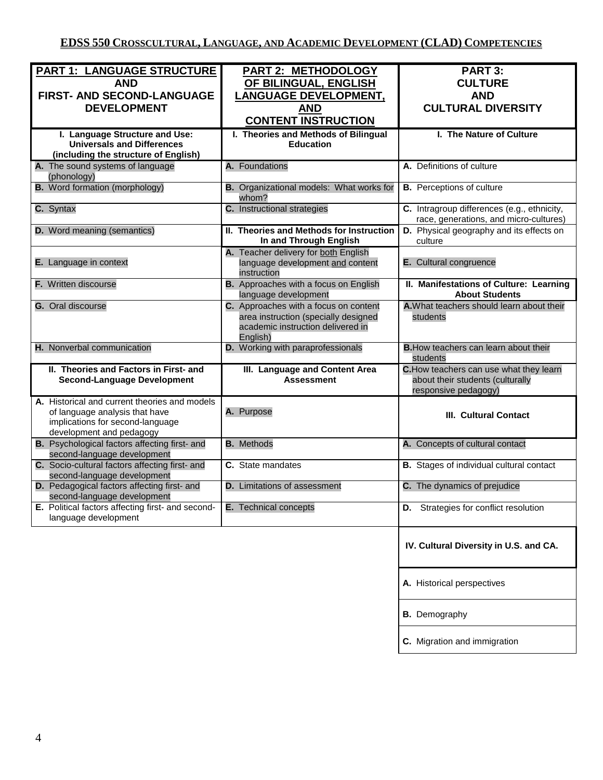| PART 1: LANGUAGE STRUCTURE<br><b>AND</b><br>FIRST- AND SECOND-LANGUAGE<br><b>DEVELOPMENT</b>                                                    | PART 2: METHODOLOGY<br>OF BILINGUAL, ENGLISH<br><b>LANGUAGE DEVELOPMENT,</b><br><b>AND</b><br><b>CONTENT INSTRUCTION</b>       | PART 3:<br><b>CULTURE</b><br><b>AND</b><br><b>CULTURAL DIVERSITY</b>                                |  |
|-------------------------------------------------------------------------------------------------------------------------------------------------|--------------------------------------------------------------------------------------------------------------------------------|-----------------------------------------------------------------------------------------------------|--|
| I. Language Structure and Use:<br><b>Universals and Differences</b><br>(including the structure of English)                                     | I. Theories and Methods of Bilingual<br><b>Education</b>                                                                       | I. The Nature of Culture                                                                            |  |
| A. The sound systems of language<br>(phonology)                                                                                                 | A. Foundations                                                                                                                 | A. Definitions of culture                                                                           |  |
| <b>B.</b> Word formation (morphology)                                                                                                           | B. Organizational models: What works for<br>whom?                                                                              | <b>B.</b> Perceptions of culture                                                                    |  |
| C. Syntax                                                                                                                                       | C. Instructional strategies                                                                                                    | C. Intragroup differences (e.g., ethnicity,<br>race, generations, and micro-cultures)               |  |
| <b>D.</b> Word meaning (semantics)                                                                                                              | II. Theories and Methods for Instruction<br>In and Through English                                                             | D. Physical geography and its effects on<br>culture                                                 |  |
| E. Language in context                                                                                                                          | A. Teacher delivery for both English<br>language development and content<br>instruction                                        | E. Cultural congruence                                                                              |  |
| F. Written discourse                                                                                                                            | <b>B.</b> Approaches with a focus on English<br>language development                                                           | II. Manifestations of Culture: Learning<br><b>About Students</b>                                    |  |
| G. Oral discourse                                                                                                                               | C. Approaches with a focus on content<br>area instruction (specially designed<br>academic instruction delivered in<br>English) | A. What teachers should learn about their<br>students                                               |  |
| H. Nonverbal communication                                                                                                                      | D. Working with paraprofessionals                                                                                              | <b>B.</b> How teachers can learn about their<br>students                                            |  |
| II. Theories and Factors in First- and<br><b>Second-Language Development</b>                                                                    | III. Language and Content Area<br><b>Assessment</b>                                                                            | C. How teachers can use what they learn<br>about their students (culturally<br>responsive pedagogy) |  |
| A. Historical and current theories and models<br>of language analysis that have<br>implications for second-language<br>development and pedagogy | A. Purpose                                                                                                                     | <b>III. Cultural Contact</b>                                                                        |  |
| <b>B.</b> Psychological factors affecting first- and<br>second-language development                                                             | <b>B.</b> Methods                                                                                                              | A. Concepts of cultural contact                                                                     |  |
| C. Socio-cultural factors affecting first- and<br>second-language development                                                                   | C. State mandates                                                                                                              | <b>B.</b> Stages of individual cultural contact                                                     |  |
| D. Pedagogical factors affecting first- and<br>second-language development                                                                      | <b>D.</b> Limitations of assessment                                                                                            | C. The dynamics of prejudice                                                                        |  |
| E. Political factors affecting first- and second-<br>language development                                                                       | E. Technical concepts                                                                                                          | D. Strategies for conflict resolution                                                               |  |
|                                                                                                                                                 |                                                                                                                                | IV. Cultural Diversity in U.S. and CA.                                                              |  |
|                                                                                                                                                 |                                                                                                                                | A. Historical perspectives                                                                          |  |
|                                                                                                                                                 |                                                                                                                                | <b>B.</b> Demography                                                                                |  |
|                                                                                                                                                 |                                                                                                                                | C. Migration and immigration                                                                        |  |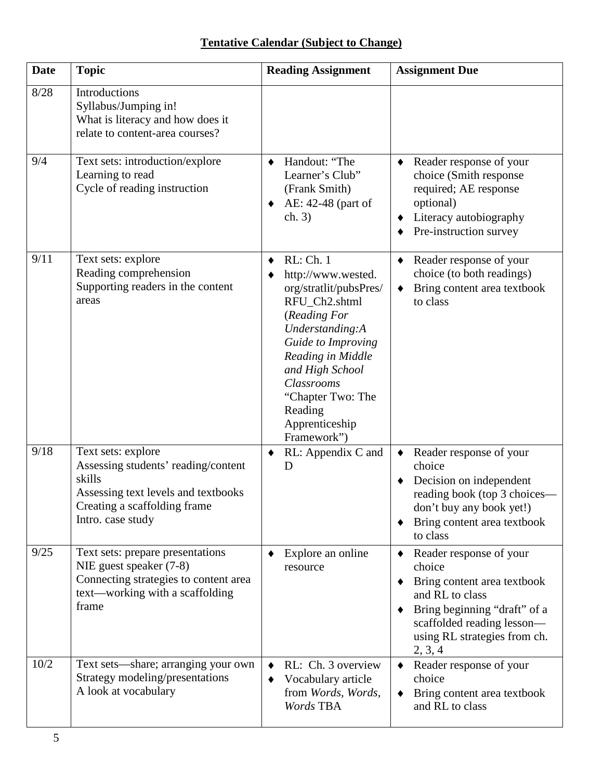# **Tentative Calendar (Subject to Change)**

| <b>Date</b> | <b>Topic</b>                                                                                                                                                    | <b>Reading Assignment</b>                                                                                                                                                                                                                                  | <b>Assignment Due</b>                                                                                                                                                                        |  |
|-------------|-----------------------------------------------------------------------------------------------------------------------------------------------------------------|------------------------------------------------------------------------------------------------------------------------------------------------------------------------------------------------------------------------------------------------------------|----------------------------------------------------------------------------------------------------------------------------------------------------------------------------------------------|--|
| 8/28        | Introductions<br>Syllabus/Jumping in!<br>What is literacy and how does it<br>relate to content-area courses?                                                    |                                                                                                                                                                                                                                                            |                                                                                                                                                                                              |  |
| 9/4         | Text sets: introduction/explore<br>Learning to read<br>Cycle of reading instruction                                                                             | Handout: "The<br>Learner's Club"<br>(Frank Smith)<br>AE: 42-48 (part of<br>ch. 3)                                                                                                                                                                          | Reader response of your<br>choice (Smith response<br>required; AE response<br>optional)<br>Literacy autobiography<br>Pre-instruction survey                                                  |  |
| 9/11        | Text sets: explore<br>Reading comprehension<br>Supporting readers in the content<br>areas                                                                       | RL: Ch. 1<br>http://www.wested.<br>org/stratlit/pubsPres/<br>RFU_Ch2.shtml<br>(Reading For<br>Understanding:A<br>Guide to Improving<br>Reading in Middle<br>and High School<br>Classrooms<br>"Chapter Two: The<br>Reading<br>Apprenticeship<br>Framework") | Reader response of your<br>choice (to both readings)<br>Bring content area textbook<br>to class                                                                                              |  |
| 9/18        | Text sets: explore<br>Assessing students' reading/content<br>skills<br>Assessing text levels and textbooks<br>Creating a scaffolding frame<br>Intro. case study | RL: Appendix C and<br>D                                                                                                                                                                                                                                    | Reader response of your<br>choice<br>Decision on independent<br>reading book (top 3 choices—<br>don't buy any book yet!)<br>Bring content area textbook<br>to class                          |  |
| 9/25        | Text sets: prepare presentations<br>NIE guest speaker (7-8)<br>Connecting strategies to content area<br>text—working with a scaffolding<br>frame                | Explore an online<br>resource                                                                                                                                                                                                                              | Reader response of your<br>choice<br>Bring content area textbook<br>and RL to class<br>Bring beginning "draft" of a<br>scaffolded reading lesson-<br>using RL strategies from ch.<br>2, 3, 4 |  |
| 10/2        | Text sets—share; arranging your own<br>Strategy modeling/presentations<br>A look at vocabulary                                                                  | RL: Ch. 3 overview<br>Vocabulary article<br>٠<br>from Words, Words,<br>Words TBA                                                                                                                                                                           | Reader response of your<br>$\blacklozenge$<br>choice<br>Bring content area textbook<br>$\bullet$<br>and RL to class                                                                          |  |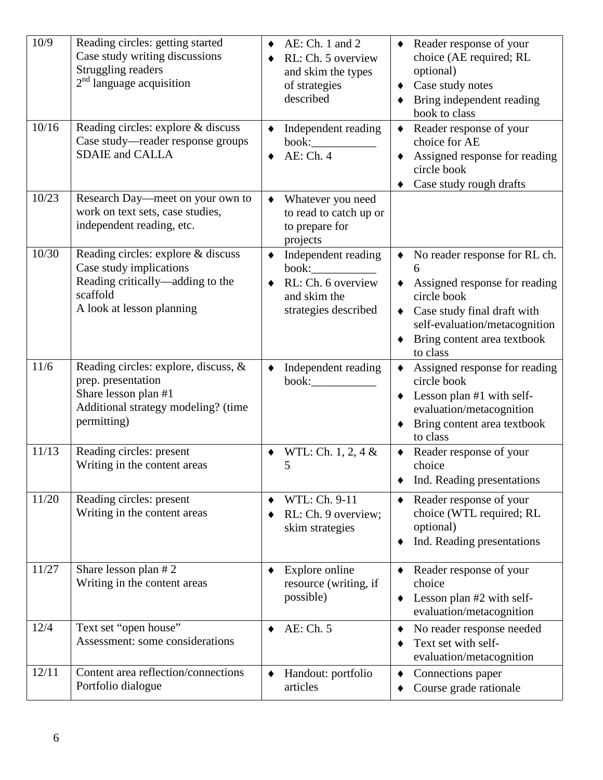| 10/9<br>10/16 | Reading circles: getting started<br>Case study writing discussions<br>Struggling readers<br>$2nd$ language acquisition<br>Reading circles: explore & discuss<br>Case study—reader response groups<br><b>SDAIE</b> and CALLA | AE: Ch. 1 and 2<br>RL: Ch. 5 overview<br>and skim the types<br>of strategies<br>described<br>Independent reading<br>AE: Ch. 4 | • Reader response of your<br>choice (AE required; RL<br>optional)<br>Case study notes<br>Bring independent reading<br>book to class<br>$\blacklozenge$<br>Reader response of your<br>choice for AE<br>Assigned response for reading<br>circle book<br>Case study rough drafts |  |
|---------------|-----------------------------------------------------------------------------------------------------------------------------------------------------------------------------------------------------------------------------|-------------------------------------------------------------------------------------------------------------------------------|-------------------------------------------------------------------------------------------------------------------------------------------------------------------------------------------------------------------------------------------------------------------------------|--|
| 10/23         | Research Day—meet on your own to<br>work on text sets, case studies,<br>independent reading, etc.                                                                                                                           | Whatever you need<br>to read to catch up or<br>to prepare for<br>projects                                                     |                                                                                                                                                                                                                                                                               |  |
| 10/30         | Reading circles: explore & discuss<br>Case study implications<br>Reading critically—adding to the<br>scaffold<br>A look at lesson planning                                                                                  | Independent reading<br>$\blacklozenge$<br>book:<br>RL: Ch. 6 overview<br>and skim the<br>strategies described                 | No reader response for RL ch.<br>$\blacklozenge$<br>6<br>Assigned response for reading<br>circle book<br>• Case study final draft with<br>self-evaluation/metacognition<br>Bring content area textbook<br>to class                                                            |  |
| 11/6          | Reading circles: explore, discuss, &<br>prep. presentation<br>Share lesson plan #1<br>Additional strategy modeling? (time<br>permitting)                                                                                    | Independent reading<br>book:                                                                                                  | Assigned response for reading<br>circle book<br>Lesson plan #1 with self-<br>٠<br>evaluation/metacognition<br>Bring content area textbook<br>to class                                                                                                                         |  |
| 11/13         | Reading circles: present<br>Writing in the content areas                                                                                                                                                                    | WTL: Ch. 1, 2, 4 &<br>5                                                                                                       | Reader response of your<br>$\blacklozenge$<br>choice<br>Ind. Reading presentations                                                                                                                                                                                            |  |
| 11/20         | Reading circles: present<br>Writing in the content areas                                                                                                                                                                    | WTL: Ch. 9-11<br>RL: Ch. 9 overview;<br>skim strategies                                                                       | Reader response of your<br>choice (WTL required; RL<br>optional)<br>Ind. Reading presentations                                                                                                                                                                                |  |
| 11/27         | Share lesson plan #2<br>Writing in the content areas                                                                                                                                                                        | Explore online<br>resource (writing, if<br>possible)                                                                          | Reader response of your<br>choice<br>Lesson plan #2 with self-<br>٠<br>evaluation/metacognition                                                                                                                                                                               |  |
| 12/4          | Text set "open house"<br>Assessment: some considerations                                                                                                                                                                    | AE: Ch. 5                                                                                                                     | No reader response needed<br>٠<br>Text set with self-<br>evaluation/metacognition                                                                                                                                                                                             |  |
| 12/11         | Content area reflection/connections<br>Portfolio dialogue                                                                                                                                                                   | Handout: portfolio<br>articles                                                                                                | Connections paper<br>٠<br>Course grade rationale                                                                                                                                                                                                                              |  |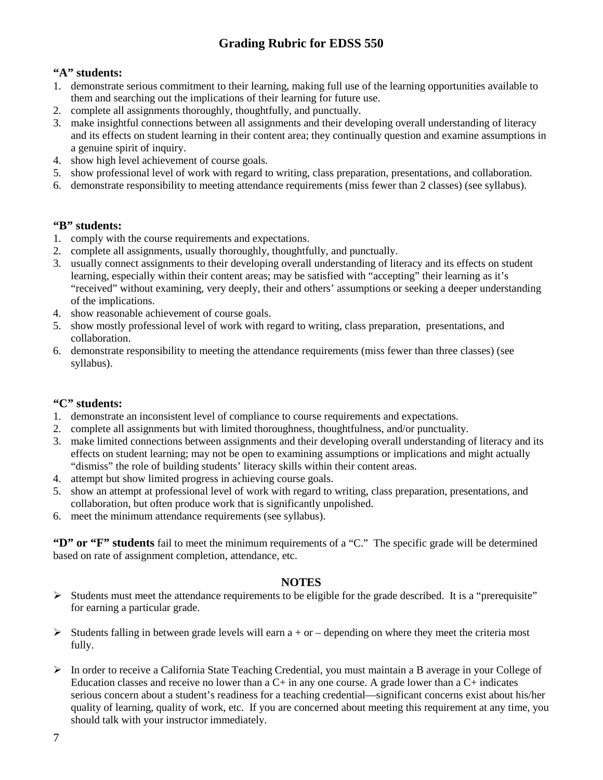## **Grading Rubric for EDSS 550**

## **"A" students:**

- 1. demonstrate serious commitment to their learning, making full use of the learning opportunities available to them and searching out the implications of their learning for future use.
- 2. complete all assignments thoroughly, thoughtfully, and punctually.
- 3. make insightful connections between all assignments and their developing overall understanding of literacy and its effects on student learning in their content area; they continually question and examine assumptions in a genuine spirit of inquiry.
- 4. show high level achievement of course goals.
- 5. show professional level of work with regard to writing, class preparation, presentations, and collaboration.
- 6. demonstrate responsibility to meeting attendance requirements (miss fewer than 2 classes) (see syllabus).

## **"B" students:**

- 1. comply with the course requirements and expectations.
- 2. complete all assignments, usually thoroughly, thoughtfully, and punctually.
- 3. usually connect assignments to their developing overall understanding of literacy and its effects on student learning, especially within their content areas; may be satisfied with "accepting" their learning as it's "received" without examining, very deeply, their and others' assumptions or seeking a deeper understanding of the implications.
- 4. show reasonable achievement of course goals.
- 5. show mostly professional level of work with regard to writing, class preparation, presentations, and collaboration.
- 6. demonstrate responsibility to meeting the attendance requirements (miss fewer than three classes) (see syllabus).

## **"C" students:**

- 1. demonstrate an inconsistent level of compliance to course requirements and expectations.
- 2. complete all assignments but with limited thoroughness, thoughtfulness, and/or punctuality.
- 3. make limited connections between assignments and their developing overall understanding of literacy and its effects on student learning; may not be open to examining assumptions or implications and might actually "dismiss" the role of building students' literacy skills within their content areas.
- 4. attempt but show limited progress in achieving course goals.
- 5. show an attempt at professional level of work with regard to writing, class preparation, presentations, and collaboration, but often produce work that is significantly unpolished.
- 6. meet the minimum attendance requirements (see syllabus).

**"D" or "F" students** fail to meet the minimum requirements of a "C." The specific grade will be determined based on rate of assignment completion, attendance, etc.

## **NOTES**

- $\triangleright$  Students must meet the attendance requirements to be eligible for the grade described. It is a "prerequisite" for earning a particular grade.
- Students falling in between grade levels will earn  $a + or -$  depending on where they meet the criteria most fully.
- $\triangleright$  In order to receive a California State Teaching Credential, you must maintain a B average in your College of Education classes and receive no lower than a  $C+$  in any one course. A grade lower than a  $C+$  indicates serious concern about a student's readiness for a teaching credential—significant concerns exist about his/her quality of learning, quality of work, etc. If you are concerned about meeting this requirement at any time, you should talk with your instructor immediately.